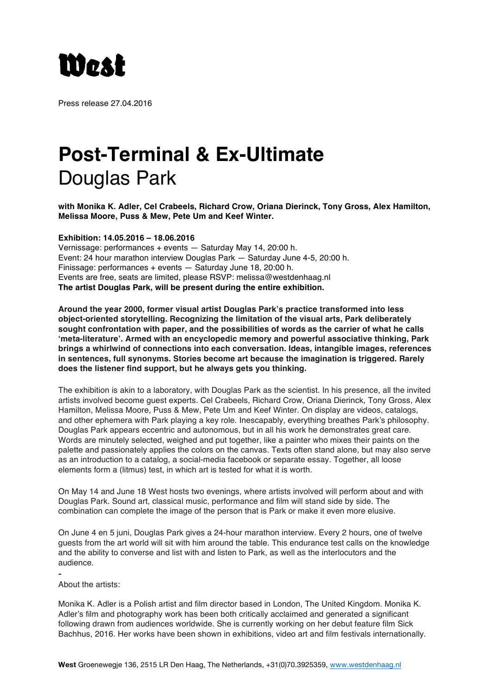

Press release 27.04.2016

## **Post-Terminal & Ex-Ultimate** Douglas Park

**with Monika K. Adler, Cel Crabeels, Richard Crow, Oriana Dierinck, Tony Gross, Alex Hamilton, Melissa Moore, Puss & Mew, Pete Um and Keef Winter.**

**Exhibition: 14.05.2016 – 18.06.2016** 

Vernissage: performances + events — Saturday May 14, 20:00 h. Event: 24 hour marathon interview Douglas Park — Saturday June 4-5, 20:00 h. Finissage: performances + events — Saturday June 18, 20:00 h. Events are free, seats are limited, please RSVP: melissa@westdenhaag.nl **The artist Douglas Park, will be present during the entire exhibition.**

**Around the year 2000, former visual artist Douglas Park's practice transformed into less object-oriented storytelling. Recognizing the limitation of the visual arts, Park deliberately sought confrontation with paper, and the possibilities of words as the carrier of what he calls 'meta-literature'. Armed with an encyclopedic memory and powerful associative thinking, Park brings a whirlwind of connections into each conversation. Ideas, intangible images, references in sentences, full synonyms. Stories become art because the imagination is triggered. Rarely does the listener find support, but he always gets you thinking.**

The exhibition is akin to a laboratory, with Douglas Park as the scientist. In his presence, all the invited artists involved become guest experts. Cel Crabeels, Richard Crow, Oriana Dierinck, Tony Gross, Alex Hamilton, Melissa Moore, Puss & Mew, Pete Um and Keef Winter. On display are videos, catalogs, and other ephemera with Park playing a key role. Inescapably, everything breathes Park's philosophy. Douglas Park appears eccentric and autonomous, but in all his work he demonstrates great care. Words are minutely selected, weighed and put together, like a painter who mixes their paints on the palette and passionately applies the colors on the canvas. Texts often stand alone, but may also serve as an introduction to a catalog, a social-media facebook or separate essay. Together, all loose elements form a (litmus) test, in which art is tested for what it is worth.

On May 14 and June 18 West hosts two evenings, where artists involved will perform about and with Douglas Park. Sound art, classical music, performance and film will stand side by side. The combination can complete the image of the person that is Park or make it even more elusive.

On June 4 en 5 juni, Douglas Park gives a 24-hour marathon interview. Every 2 hours, one of twelve guests from the art world will sit with him around the table. This endurance test calls on the knowledge and the ability to converse and list with and listen to Park, as well as the interlocutors and the audience.

- About the artists:

Monika K. Adler is a Polish artist and film director based in London, The United Kingdom. Monika K. Adler's film and photography work has been both critically acclaimed and generated a significant following drawn from audiences worldwide. She is currently working on her debut feature film Sick Bachhus, 2016. Her works have been shown in exhibitions, video art and film festivals internationally.